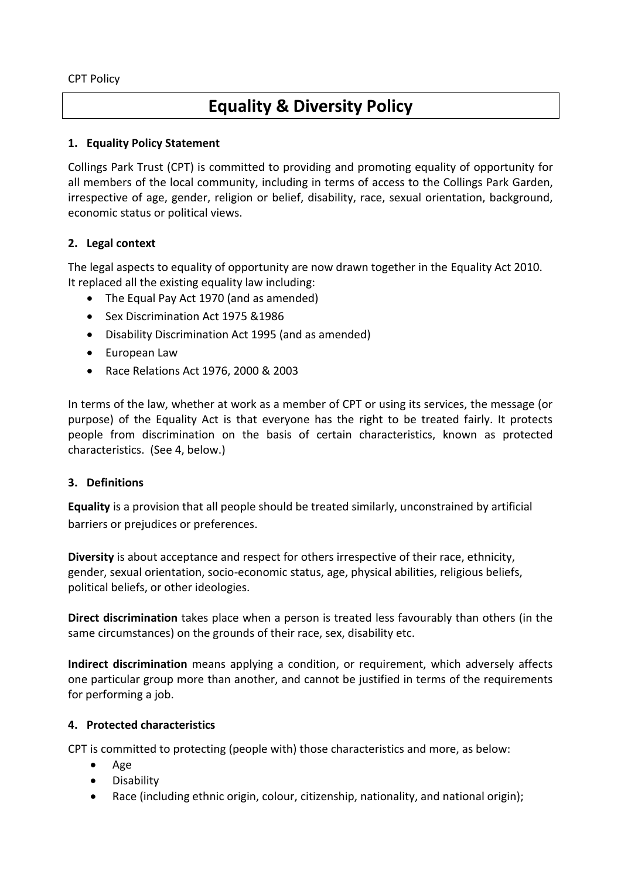# **Equality & Diversity Policy**

## **1. Equality Policy Statement**

Collings Park Trust (CPT) is committed to providing and promoting equality of opportunity for all members of the local community, including in terms of access to the Collings Park Garden, irrespective of age, gender, religion or belief, disability, race, sexual orientation, background, economic status or political views.

## **2. Legal context**

The legal aspects to equality of opportunity are now drawn together in the Equality Act 2010. It replaced all the existing equality law including:

- The Equal Pay Act 1970 (and as amended)
- Sex Discrimination Act 1975 &1986
- Disability Discrimination Act 1995 (and as amended)
- European Law
- Race Relations Act 1976, 2000 & 2003

In terms of the law, whether at work as a member of CPT or using its services, the message (or purpose) of the Equality Act is that everyone has the right to be treated fairly. It protects people from discrimination on the basis of certain characteristics, known as protected characteristics. (See 4, below.)

#### **3. Definitions**

**Equality** is a provision that all people should be treated similarly, unconstrained by artificial barriers or prejudices or preferences.

**Diversity** is about acceptance and respect for others irrespective of their race, ethnicity, gender, sexual orientation, socio-economic status, age, physical abilities, religious beliefs, political beliefs, or other ideologies.

**Direct discrimination** takes place when a person is treated less favourably than others (in the same circumstances) on the grounds of their race, sex, disability etc.

**Indirect discrimination** means applying a condition, or requirement, which adversely affects one particular group more than another, and cannot be justified in terms of the requirements for performing a job.

## **4. Protected characteristics**

CPT is committed to protecting (people with) those characteristics and more, as below:

- Age
- **•** Disability
- Race (including ethnic origin, colour, citizenship, nationality, and national origin);